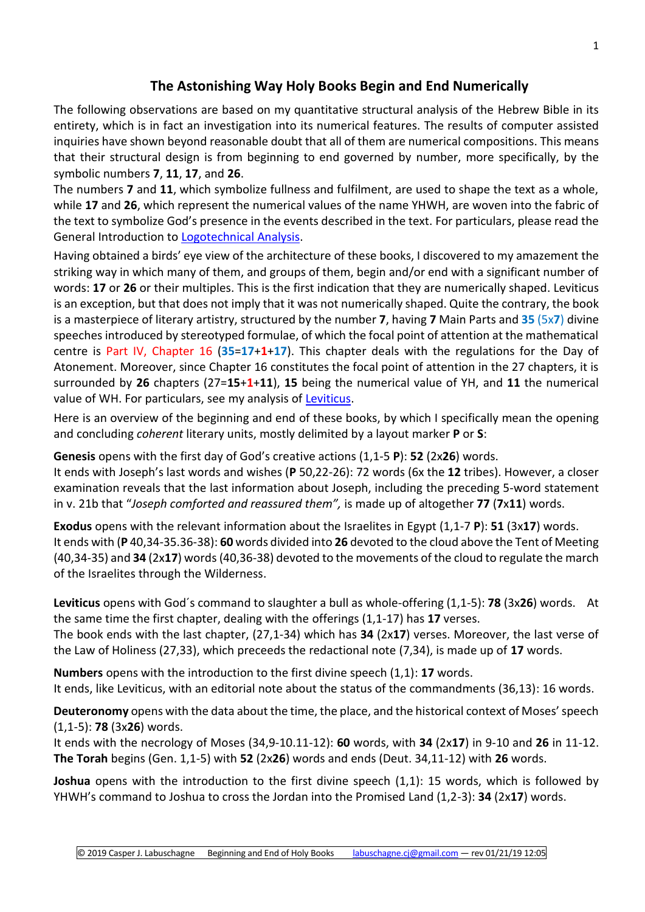## **The Astonishing Way Holy Books Begin and End Numerically**

The following observations are based on my quantitative structural analysis of the Hebrew Bible in its entirety, which is in fact an investigation into its numerical features. The results of computer assisted inquiries have shown beyond reasonable doubt that all of them are numerical compositions. This means that their structural design is from beginning to end governed by number, more specifically, by the symbolic numbers **7**, **11**, **17**, and **26**.

The numbers **7** and **11**, which symbolize fullness and fulfilment, are used to shape the text as a whole, while **17** and **26**, which represent the numerical values of the name YHWH, are woven into the fabric of the text to symbolize God's presence in the events described in the text. For particulars, please read the General Introduction to [Logotechnical Analysis.](http://www.labuschagne.nl/aspects.pdf)

Having obtained a birds' eye view of the architecture of these books, I discovered to my amazement the striking way in which many of them, and groups of them, begin and/or end with a significant number of words: **17** or **26** or their multiples. This is the first indication that they are numerically shaped. Leviticus is an exception, but that does not imply that it was not numerically shaped. Quite the contrary, the book is a masterpiece of literary artistry, structured by the number **7**, having **7** Main Parts and **35** (5x**7**) divine speeches introduced by stereotyped formulae, of which the focal point of attention at the mathematical centre is Part IV, Chapter 16 (**35**=**17**+**1**+**17**). This chapter deals with the regulations for the Day of Atonement. Moreover, since Chapter 16 constitutes the focal point of attention in the 27 chapters, it is surrounded by **26** chapters (27=**15**+**1**+**11**), **15** being the numerical value of YH, and **11** the numerical value of WH. For particulars, see my analysis of [Leviticus.](http://www.labuschagne.nl/leviticus.htm)

Here is an overview of the beginning and end of these books, by which I specifically mean the opening and concluding *coherent* literary units, mostly delimited by a layout marker **P** or **S**:

**Genesis** opens with the first day of God's creative actions (1,1-5 **P**): **52** (2x**26**) words.

It ends with Joseph's last words and wishes (**P** 50,22-26): 72 words (6x the **12** tribes). However, a closer examination reveals that the last information about Joseph, including the preceding 5-word statement in v. 21b that "*Joseph comforted and reassured them",* is made up of altogether **77** (**7**x**11**) words.

**Exodus** opens with the relevant information about the Israelites in Egypt (1,1-7 **P**): **51** (3x**17**) words. It ends with (**P** 40,34-35.36-38): **60** words divided into **26** devoted to the cloud above the Tent of Meeting (40,34-35) and **34** (2x**17**) words(40,36-38) devoted to the movements of the cloud to regulate the march of the Israelites through the Wilderness.

**Leviticus** opens with God´s command to slaughter a bull as whole-offering (1,1-5): **78** (3x**26**) words. At the same time the first chapter, dealing with the offerings (1,1-17) has **17** verses.

The book ends with the last chapter, (27,1-34) which has **34** (2x**17**) verses. Moreover, the last verse of the Law of Holiness (27,33), which preceeds the redactional note (7,34), is made up of **17** words.

**Numbers** opens with the introduction to the first divine speech (1,1): **17** words. It ends, like Leviticus, with an editorial note about the status of the commandments (36,13): 16 words.

**Deuteronomy** opens with the data about the time, the place, and the historical context of Moses' speech (1,1-5): **78** (3x**26**) words.

It ends with the necrology of Moses (34,9-10.11-12): **60** words, with **34** (2x**17**) in 9-10 and **26** in 11-12. **The Torah** begins (Gen. 1,1-5) with **52** (2x**26**) words and ends (Deut. 34,11-12) with **26** words.

**Joshua** opens with the introduction to the first divine speech (1,1): 15 words, which is followed by YHWH's command to Joshua to cross the Jordan into the Promised Land (1,2-3): **34** (2x**17**) words.